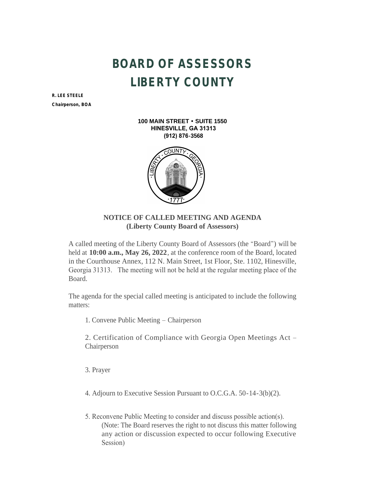## **BOARD OF ASSESSORS LIBERTY COUNTY**

**R. LEE STEELE**

*Chairperson, BOA*

**100 MAIN STREET • SUITE 1550 HINESVILLE, GA 31313 (912) 876-3568**



## **NOTICE OF CALLED MEETING AND AGENDA (Liberty County Board of Assessors)**

A called meeting of the Liberty County Board of Assessors (the "Board") will be held at **10:00 a.m., May 26, 2022**, at the conference room of the Board, located in the Courthouse Annex, 112 N. Main Street, 1st Floor, Ste. 1102, Hinesville, Georgia 31313. The meeting will not be held at the regular meeting place of the Board.

The agenda for the special called meeting is anticipated to include the following matters:

1. Convene Public Meeting – Chairperson

2. Certification of Compliance with Georgia Open Meetings Act – Chairperson

3. Prayer

4. Adjourn to Executive Session Pursuant to O.C.G.A. 50-14-3(b)(2).

5. Reconvene Public Meeting to consider and discuss possible action(s). (Note: The Board reserves the right to not discuss this matter following any action or discussion expected to occur following Executive Session)